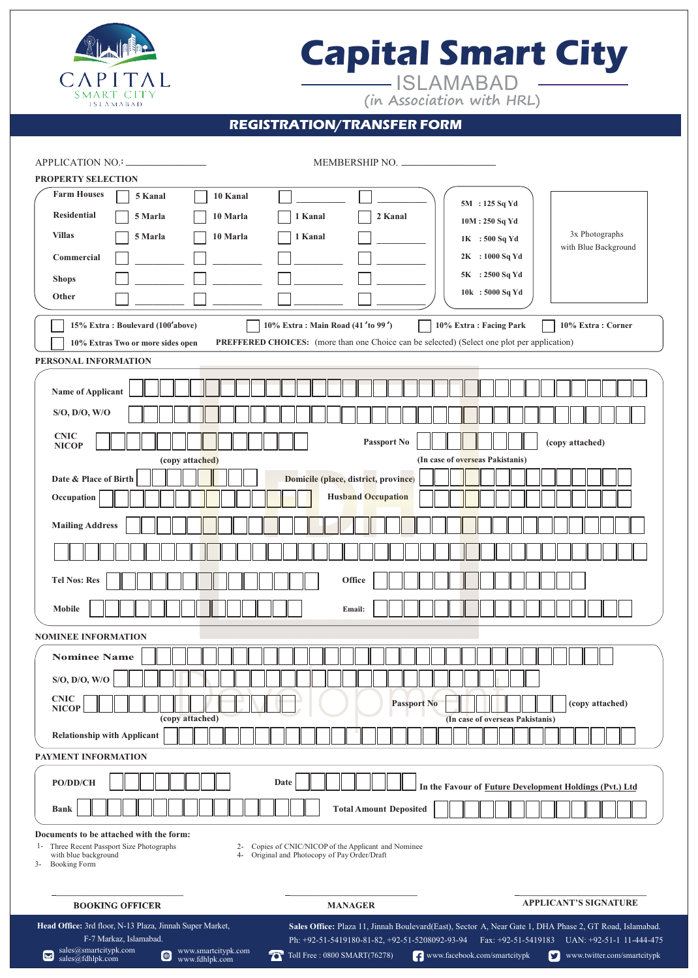

# **Capital Smart City**

ISLAMABAD **(in Association with HRL)**

## **REGISTRATION/TRANSFER FORM**

| APPLICATION NO.: _                                                                                                                                                                                                                           | MEMBERSHIP NO.      |                               |                                                                                                         |                                                                                             |
|----------------------------------------------------------------------------------------------------------------------------------------------------------------------------------------------------------------------------------------------|---------------------|-------------------------------|---------------------------------------------------------------------------------------------------------|---------------------------------------------------------------------------------------------|
| <b>PROPERTY SELECTION</b>                                                                                                                                                                                                                    |                     |                               |                                                                                                         |                                                                                             |
| <b>Farm Houses</b><br>5 Kanal                                                                                                                                                                                                                | 10 Kanal            |                               | 5M : 125 Sq Yd                                                                                          |                                                                                             |
| <b>Residential</b><br>5 Marla                                                                                                                                                                                                                | 10 Marla<br>1 Kanal | 2 Kanal                       |                                                                                                         |                                                                                             |
| <b>Villas</b><br>5 Marla                                                                                                                                                                                                                     | 10 Marla<br>1 Kanal |                               | 10M: 250 Sq Yd                                                                                          | 3x Photographs                                                                              |
| Commercial                                                                                                                                                                                                                                   |                     |                               | $1K = 500$ Sq Yd<br>2K : 1000 Sq Yd                                                                     | with Blue Background                                                                        |
| <b>Shops</b>                                                                                                                                                                                                                                 |                     |                               | 5K : 2500 Sq Yd                                                                                         |                                                                                             |
| Other                                                                                                                                                                                                                                        |                     |                               | 10k: 5000 Sq Yd                                                                                         |                                                                                             |
| 15% Extra: Boulevard (100'above)<br>10% Extra: Main Road (41'to 99')<br>10% Extra: Facing Park<br>10% Extra: Corner                                                                                                                          |                     |                               |                                                                                                         |                                                                                             |
| <b>PREFFERED CHOICES:</b> (more than one Choice can be selected) (Select one plot per application)<br>10% Extras Two or more sides open                                                                                                      |                     |                               |                                                                                                         |                                                                                             |
| PERSONAL INFORMATION                                                                                                                                                                                                                         |                     |                               |                                                                                                         |                                                                                             |
| Name of Applicant                                                                                                                                                                                                                            |                     |                               |                                                                                                         |                                                                                             |
| $S/O$ , $D/O$ , $W/O$                                                                                                                                                                                                                        |                     |                               |                                                                                                         |                                                                                             |
| <b>CNIC</b><br>Passport No<br>(copy attached)<br><b>NICOP</b>                                                                                                                                                                                |                     |                               |                                                                                                         |                                                                                             |
| (In case of overseas Pakistanis)<br>(copy attached)                                                                                                                                                                                          |                     |                               |                                                                                                         |                                                                                             |
| Date & Place of Birth<br>Domicile (place, district, province)                                                                                                                                                                                |                     |                               |                                                                                                         |                                                                                             |
| <b>Husband Occupation</b><br>Occupation                                                                                                                                                                                                      |                     |                               |                                                                                                         |                                                                                             |
| <b>Mailing Address</b>                                                                                                                                                                                                                       |                     |                               |                                                                                                         |                                                                                             |
|                                                                                                                                                                                                                                              |                     |                               |                                                                                                         |                                                                                             |
| <b>Tel Nos: Res</b><br>Office                                                                                                                                                                                                                |                     |                               |                                                                                                         |                                                                                             |
| Mobile                                                                                                                                                                                                                                       |                     | Email:                        |                                                                                                         |                                                                                             |
| <b>NOMINEE INFORMATION</b>                                                                                                                                                                                                                   |                     |                               |                                                                                                         |                                                                                             |
| <b>Nominee Name</b>                                                                                                                                                                                                                          |                     |                               |                                                                                                         |                                                                                             |
| S/O, D/O, W/O                                                                                                                                                                                                                                |                     |                               |                                                                                                         |                                                                                             |
| <b>CNIC</b><br><b>NICOP</b>                                                                                                                                                                                                                  |                     | <b>Passport No</b>            |                                                                                                         | (copy attached)                                                                             |
| (copy attached)<br><b>Relationship with Applicant</b>                                                                                                                                                                                        |                     |                               | (In case of overseas Pakistanis)                                                                        |                                                                                             |
| PAYMENT INFORMATION                                                                                                                                                                                                                          |                     |                               |                                                                                                         |                                                                                             |
|                                                                                                                                                                                                                                              |                     |                               |                                                                                                         |                                                                                             |
| PO/DD/CH                                                                                                                                                                                                                                     | Date                |                               | In the Favour of Future Development Holdings (Pvt.) Ltd                                                 |                                                                                             |
| <b>Bank</b>                                                                                                                                                                                                                                  |                     | <b>Total Amount Deposited</b> |                                                                                                         |                                                                                             |
| Documents to be attached with the form:<br>Three Recent Passport Size Photographs<br>2- Copies of CNIC/NICOP of the Applicant and Nominee<br>$1-$<br>4- Original and Photocopy of Pay Order/Draft<br>with blue background<br>3- Booking Form |                     |                               |                                                                                                         |                                                                                             |
| <b>BOOKING OFFICER</b>                                                                                                                                                                                                                       |                     | <b>MANAGER</b>                |                                                                                                         | <b>APPLICANT'S SIGNATURE</b>                                                                |
| Head Office: 3rd floor, N-13 Plaza, Jinnah Super Market,                                                                                                                                                                                     |                     |                               | Sales Office: Plaza 11, Jinnah Boulevard(East), Sector A, Near Gate 1, DHA Phase 2, GT Road, Islamabad. |                                                                                             |
| F-7 Markaz, Islamabad.                                                                                                                                                                                                                       |                     |                               |                                                                                                         | Ph: +92-51-5419180-81-82, +92-51-5208092-93-94 Fax: +92-51-5419183 UAN: +92-51-1 11-444-475 |

sales@smartcitypk.com sales@fdhlpk.com

www.smartcitypk.com<br>www.fdhlpk.com

www.fdhlpk.com **To** Toll Free : 0800 SMART(76278) **[** www.facebook.com/smartcitypk www.function/smartcitypk